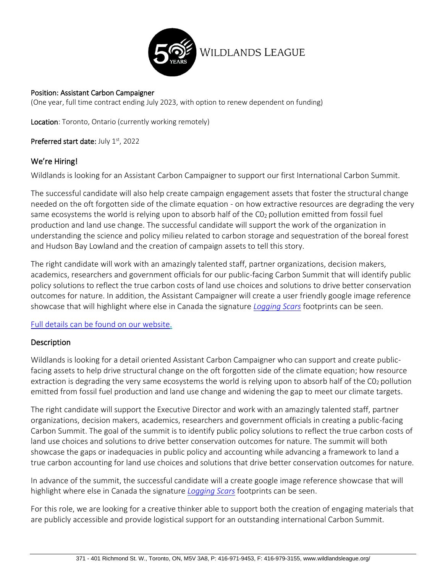

#### Position: Assistant Carbon Campaigner

(One year, full time contract ending July 2023, with option to renew dependent on funding)

Location: Toronto, Ontario (currently working remotely)

Preferred start date: July 1st, 2022

#### We're Hiring!

Wildlands is looking for an Assistant Carbon Campaigner to support our first International Carbon Summit.

The successful candidate will also help create campaign engagement assets that foster the structural change needed on the oft forgotten side of the climate equation - on how extractive resources are degrading the very same ecosystems the world is relying upon to absorb half of the CO<sub>2</sub> pollution emitted from fossil fuel production and land use change. The successful candidate will support the work of the organization in understanding the science and policy milieu related to carbon storage and sequestration of the boreal forest and Hudson Bay Lowland and the creation of campaign assets to tell this story.

The right candidate will work with an amazingly talented staff, partner organizations, decision makers, academics, researchers and government officials for our public-facing Carbon Summit that will identify public policy solutions to reflect the true carbon costs of land use choices and solutions to drive better conservation outcomes for nature. In addition, the Assistant Campaigner will create a user friendly google image reference showcase that will highlight where else in Canada the signature *[Logging Scars](https://loggingscars.ca/)* footprints can be seen.

## [Full details can be found on our website.](https://wildlandsleague.org/)

#### **Description**

Wildlands is looking for a detail oriented Assistant Carbon Campaigner who can support and create publicfacing assets to help drive structural change on the oft forgotten side of the climate equation; how resource extraction is degrading the very same ecosystems the world is relying upon to absorb half of the  $CO<sub>2</sub>$  pollution emitted from fossil fuel production and land use change and widening the gap to meet our climate targets.

The right candidate will support the Executive Director and work with an amazingly talented staff, partner organizations, decision makers, academics, researchers and government officials in creating a public-facing Carbon Summit. The goal of the summit is to identify public policy solutions to reflect the true carbon costs of land use choices and solutions to drive better conservation outcomes for nature. The summit will both showcase the gaps or inadequacies in public policy and accounting while advancing a framework to land a true carbon accounting for land use choices and solutions that drive better conservation outcomes for nature.

In advance of the summit, the successful candidate will a create google image reference showcase that will highlight where else in Canada the signature *[Logging Scars](https://loggingscars.ca/)* footprints can be seen.

For this role, we are looking for a creative thinker able to support both the creation of engaging materials that are publicly accessible and provide logistical support for an outstanding international Carbon Summit.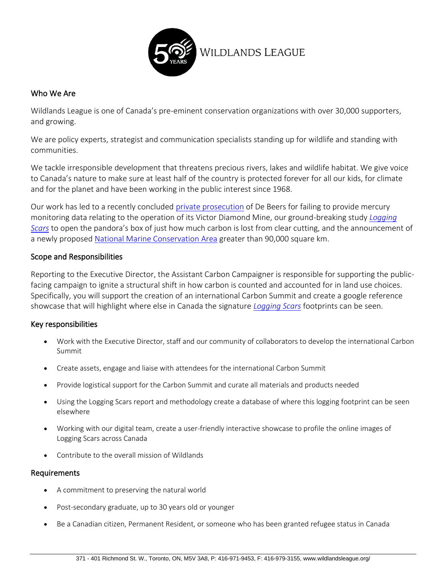

# Who We Are

Wildlands League is one of Canada's pre-eminent conservation organizations with over 30,000 supporters, and growing.

We are policy experts, strategist and communication specialists standing up for wildlife and standing with communities.

We tackle irresponsible development that threatens precious rivers, lakes and wildlife habitat. We give voice to Canada's nature to make sure at least half of the country is protected forever for all our kids, for climate and for the planet and have been working in the public interest since 1968.

Our work has led to a recently concluded [private prosecution](https://wildlandsleague.org/project/victor-diamond-mine/) of De Beers for failing to provide mercury monitoring data relating to the operation of its Victor Diamond Mine, our ground-breaking study *[Logging](https://loggingscars.ca/wp-content/uploads/2019/12/LoggingScarsPressReleaseFinal.pdf) [Scars](https://loggingscars.ca/wp-content/uploads/2019/12/LoggingScarsPressReleaseFinal.pdf)* to open the pandora's box of just how much carbon is lost from clear cutting, and the announcement of a newly propose[d National Marine Conservation Area](https://marine.wildlandsleague.org/media-room/) greater than 90,000 square km.

## Scope and Responsibilities

Reporting to the Executive Director, the Assistant Carbon Campaigner is responsible for supporting the publicfacing campaign to ignite a structural shift in how carbon is counted and accounted for in land use choices. Specifically, you will support the creation of an international Carbon Summit and create a google reference showcase that will highlight where else in Canada the signature *[Logging Scars](https://loggingscars.ca/)* footprints can be seen.

## Key responsibilities

- Work with the Executive Director, staff and our community of collaborators to develop the international Carbon Summit
- Create assets, engage and liaise with attendees for the international Carbon Summit
- Provide logistical support for the Carbon Summit and curate all materials and products needed
- Using the Logging Scars report and methodology create a database of where this logging footprint can be seen elsewhere
- Working with our digital team, create a user-friendly interactive showcase to profile the online images of Logging Scars across Canada
- Contribute to the overall mission of Wildlands

## Requirements

- A commitment to preserving the natural world
- Post-secondary graduate, up to 30 years old or younger
- Be a Canadian citizen, Permanent Resident, or someone who has been granted refugee status in Canada